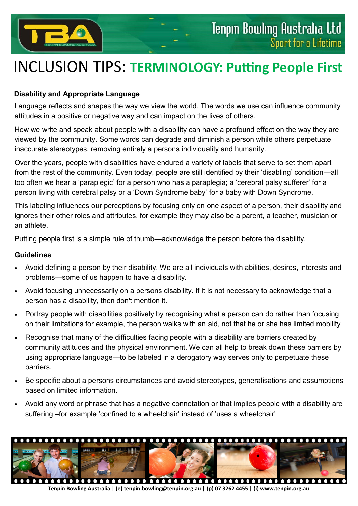

## INCLUSION TIPS: **TERMINOLOGY: Putting People First**

## **Disability and Appropriate Language**

Language reflects and shapes the way we view the world. The words we use can influence community attitudes in a positive or negative way and can impact on the lives of others.

How we write and speak about people with a disability can have a profound effect on the way they are viewed by the community. Some words can degrade and diminish a person while others perpetuate inaccurate stereotypes, removing entirely a persons individuality and humanity.

Over the years, people with disabilities have endured a variety of labels that serve to set them apart from the rest of the community. Even today, people are still identified by their 'disabling' condition—all too often we hear a 'paraplegic' for a person who has a paraplegia; a 'cerebral palsy sufferer' for a person living with cerebral palsy or a 'Down Syndrome baby' for a baby with Down Syndrome.

This labeling influences our perceptions by focusing only on one aspect of a person, their disability and ignores their other roles and attributes, for example they may also be a parent, a teacher, musician or an athlete.

Putting people first is a simple rule of thumb—acknowledge the person before the disability.

## **Guidelines**

- Avoid defining a person by their disability. We are all individuals with abilities, desires, interests and problems—some of us happen to have a disability.
- Avoid focusing unnecessarily on a persons disability. If it is not necessary to acknowledge that a person has a disability, then don't mention it.
- Portray people with disabilities positively by recognising what a person can do rather than focusing on their limitations for example, the person walks with an aid, not that he or she has limited mobility
- Recognise that many of the difficulties facing people with a disability are barriers created by community attitudes and the physical environment. We can all help to break down these barriers by using appropriate language—to be labeled in a derogatory way serves only to perpetuate these barriers.
- Be specific about a persons circumstances and avoid stereotypes, generalisations and assumptions based on limited information.
- Avoid any word or phrase that has a negative connotation or that implies people with a disability are suffering –for example 'confined to a wheelchair' instead of 'uses a wheelchair'